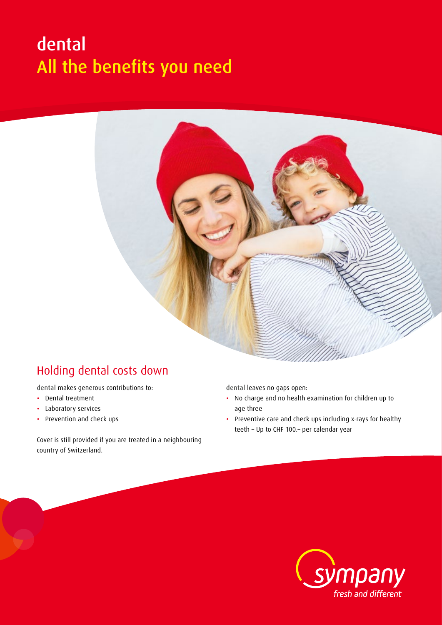## dental All the benefits you need



## Holding dental costs down

dental makes generous contributions to:

- Dental treatment
- Laboratory services
- Prevention and check ups

Cover is still provided if you are treated in a neighbouring country of Switzerland.

dental leaves no gaps open:

- No charge and no health examination for children up to age three
- Preventive care and check ups including x-rays for healthy teeth – Up to CHF 100.– per calendar year

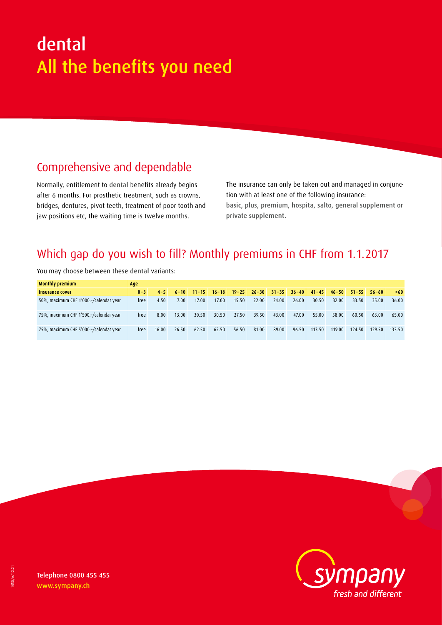# dental All the benefits you need

## Comprehensive and dependable

Normally, entitlement to dental benefits already begins after 6 months. For prosthetic treatment, such as crowns, bridges, dentures, pivot teeth, treatment of poor tooth and jaw positions etc, the waiting time is twelve months.

The insurance can only be taken out and managed in conjunction with at least one of the following insurance: basic, plus, premium, hospita, salto, general supplement or private supplement.

### Which gap do you wish to fill? Monthly premiums in CHF from 1.1.2017

| <b>Monthly premium</b>                 | Age     |         |          |           |           |       |       |       |       |                                         |        |                               |        |        |
|----------------------------------------|---------|---------|----------|-----------|-----------|-------|-------|-------|-------|-----------------------------------------|--------|-------------------------------|--------|--------|
| Insurance cover                        | $0 - 3$ | $4 - 5$ | $6 - 10$ | $11 - 15$ | $16 - 18$ |       |       |       |       | $19-25$ $26-30$ $31-35$ $36-40$ $41-45$ |        | $46 - 50$ $51 - 55$ $56 - 60$ |        | >60    |
| 50%, maximum CHF 1'000.-/calendar year | free    | 4.50    | 7.00     | 17.00     | 17.00     | 15.50 | 22.00 | 24.00 | 26.00 | 30.50                                   | 32.00  | 33.50                         | 35.00  | 36.00  |
| 75%, maximum CHF 1'500.-/calendar year | free    | 8.00    | 13.00    | 30.50     | 30.50     | 27.50 | 39.50 | 43.00 | 47.00 | 55.00                                   | 58.00  | 60.50                         | 63.00  | 65.00  |
| 75%, maximum CHF 5'000.-/calendar year | free    | 16.00   | 26.50    | 62.50     | 62.50     | 56.50 | 81.00 | 89.00 | 96.50 | 113.50                                  | 119.00 | 124.50                        | 129.50 | 133.50 |

You may choose between these dental variants:



Telephone 0800 455 455 www.sympany.ch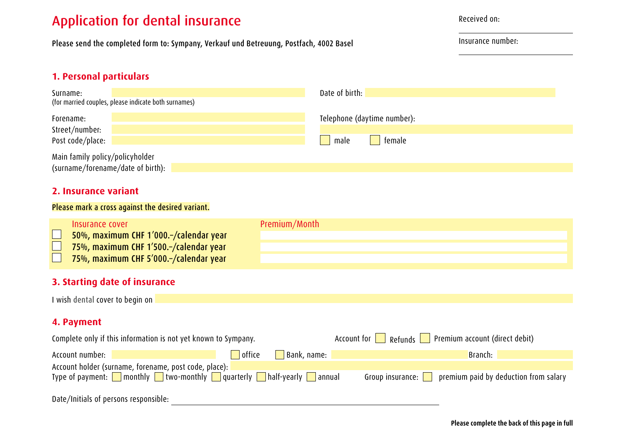### Application for dental insurance

Please send the completed form to: Sympany, Verkauf und Betreuung, Postfach, 4002 Basel

Received on:

Insurance number:

#### **1. Personal particulars**

| Surname:<br>(for married couples, please indicate both surnames)     | Date of birth:              |  |  |  |  |  |  |  |
|----------------------------------------------------------------------|-----------------------------|--|--|--|--|--|--|--|
| Forename:                                                            | Telephone (daytime number): |  |  |  |  |  |  |  |
| Street/number:<br>Post code/place:                                   | female<br>male              |  |  |  |  |  |  |  |
| Main family policy/policyholder<br>(surname/forename/date of birth): |                             |  |  |  |  |  |  |  |

#### **2. Insurance variant**

#### Please mark a cross against the desired variant.

| <b>Insurance cover</b>                    | Premium/Month |
|-------------------------------------------|---------------|
| 50%, maximum CHF 1'000.-/calendar year    |               |
| 75%, maximum CHF 1'500.-/calendar year    |               |
| 75%, maximum CHF 5'000 .- / calendar year |               |
|                                           |               |

#### **3. Starting date of insurance**

I wish dental cover to begin on

#### **4. Payment**

| Complete only if this information is not yet known to Sympany.                                                                                                  |               | Premium account (direct debit)<br>Refunds <b>Nation</b><br>Account for |                                                                    |  |  |  |
|-----------------------------------------------------------------------------------------------------------------------------------------------------------------|---------------|------------------------------------------------------------------------|--------------------------------------------------------------------|--|--|--|
| Account number:                                                                                                                                                 | <b>office</b> | Bank, name:                                                            | Branch:                                                            |  |  |  |
| Account holder (surname, forename, post code, place): 7<br>Type of payment: $\Box$ monthly $\Box$ two-monthly $\Box$ quarterly $\Box$ half-yearly $\Box$ annual |               |                                                                        | Group insurance: $\ \cdot\ $ premium paid by deduction from salary |  |  |  |
| Date/Initials of persons responsible:                                                                                                                           |               |                                                                        |                                                                    |  |  |  |